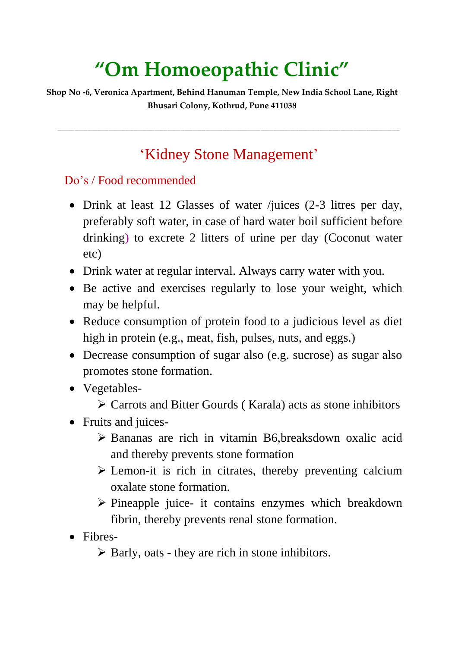# **"Om Homoeopathic Clinic"**

**Shop No -6, Veronica Apartment, Behind Hanuman Temple, New India School Lane, Right Bhusari Colony, Kothrud, Pune 411038**

### 'Kidney Stone Management'

**\_\_\_\_\_\_\_\_\_\_\_\_\_\_\_\_\_\_\_\_\_\_\_\_\_\_\_\_\_\_\_\_\_\_\_\_\_\_\_\_\_\_\_\_\_\_\_\_\_\_\_\_\_\_\_\_\_\_\_\_\_\_\_\_\_\_\_\_\_\_\_\_\_\_\_\_\_\_\_\_\_**

#### Do's / Food recommended

- Drink at least 12 Glasses of water /juices (2-3 litres per day, preferably soft water, in case of hard water boil sufficient before drinking) to excrete 2 litters of urine per day (Coconut water etc)
- Drink water at regular interval. Always carry water with you.
- Be active and exercises regularly to lose your weight, which may be helpful.
- Reduce consumption of protein food to a judicious level as diet high in protein (e.g., meat, fish, pulses, nuts, and eggs.)
- Decrease consumption of sugar also (e.g. sucrose) as sugar also promotes stone formation.
- Vegetables-
	- Carrots and Bitter Gourds ( Karala) acts as stone inhibitors
- Fruits and juices-
	- Bananas are rich in vitamin B6,breaksdown oxalic acid and thereby prevents stone formation
	- $\triangleright$  Lemon-it is rich in citrates, thereby preventing calcium oxalate stone formation.
	- $\triangleright$  Pineapple juice- it contains enzymes which breakdown fibrin, thereby prevents renal stone formation.
- Fibres-
	- $\triangleright$  Barly, oats they are rich in stone inhibitors.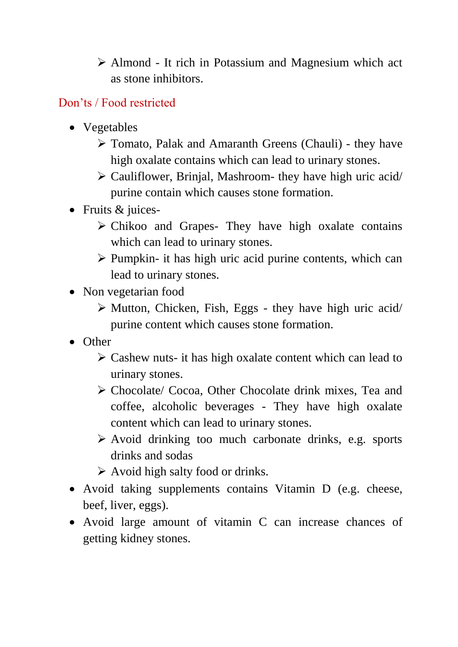Almond - It rich in Potassium and Magnesium which act as stone inhibitors.

### Don'ts / Food restricted

- Vegetables
	- Tomato, Palak and Amaranth Greens (Chauli) they have high oxalate contains which can lead to urinary stones.
	- $\triangleright$  Cauliflower, Brinjal, Mashroom- they have high uric acid/ purine contain which causes stone formation.
- Fruits & juices-
	- $\triangleright$  Chikoo and Grapes- They have high oxalate contains which can lead to urinary stones.
	- $\triangleright$  Pumpkin- it has high uric acid purine contents, which can lead to urinary stones.
- Non vegetarian food
	- $\triangleright$  Mutton, Chicken, Fish, Eggs they have high uric acid/ purine content which causes stone formation.
- Other
	- $\triangleright$  Cashew nuts- it has high oxalate content which can lead to urinary stones.
	- Chocolate/ Cocoa, Other Chocolate drink mixes, Tea and coffee, alcoholic beverages - They have high oxalate content which can lead to urinary stones.
	- $\triangleright$  Avoid drinking too much carbonate drinks, e.g. sports drinks and sodas
	- $\triangleright$  Avoid high salty food or drinks.
- Avoid taking supplements contains Vitamin D (e.g. cheese, beef, liver, eggs).
- Avoid large amount of vitamin C can increase chances of getting kidney stones.